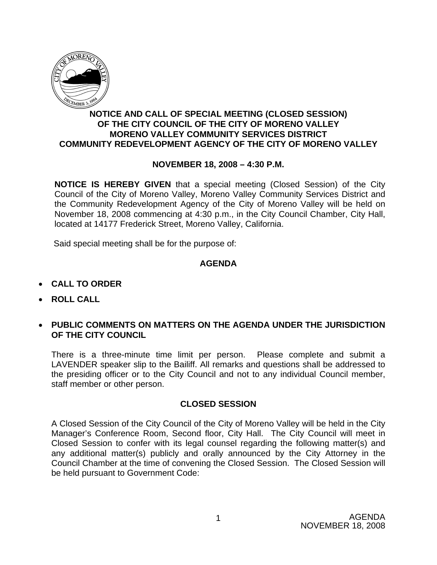

## **NOTICE AND CALL OF SPECIAL MEETING (CLOSED SESSION) OF THE CITY COUNCIL OF THE CITY OF MORENO VALLEY MORENO VALLEY COMMUNITY SERVICES DISTRICT COMMUNITY REDEVELOPMENT AGENCY OF THE CITY OF MORENO VALLEY**

## **NOVEMBER 18, 2008 – 4:30 P.M.**

**NOTICE IS HEREBY GIVEN** that a special meeting (Closed Session) of the City Council of the City of Moreno Valley, Moreno Valley Community Services District and the Community Redevelopment Agency of the City of Moreno Valley will be held on November 18, 2008 commencing at 4:30 p.m., in the City Council Chamber, City Hall, located at 14177 Frederick Street, Moreno Valley, California.

Said special meeting shall be for the purpose of:

## **AGENDA**

- **CALL TO ORDER**
- **ROLL CALL**
- **PUBLIC COMMENTS ON MATTERS ON THE AGENDA UNDER THE JURISDICTION OF THE CITY COUNCIL**

There is a three-minute time limit per person. Please complete and submit a LAVENDER speaker slip to the Bailiff. All remarks and questions shall be addressed to the presiding officer or to the City Council and not to any individual Council member, staff member or other person.

## **CLOSED SESSION**

A Closed Session of the City Council of the City of Moreno Valley will be held in the City Manager's Conference Room, Second floor, City Hall. The City Council will meet in Closed Session to confer with its legal counsel regarding the following matter(s) and any additional matter(s) publicly and orally announced by the City Attorney in the Council Chamber at the time of convening the Closed Session. The Closed Session will be held pursuant to Government Code: